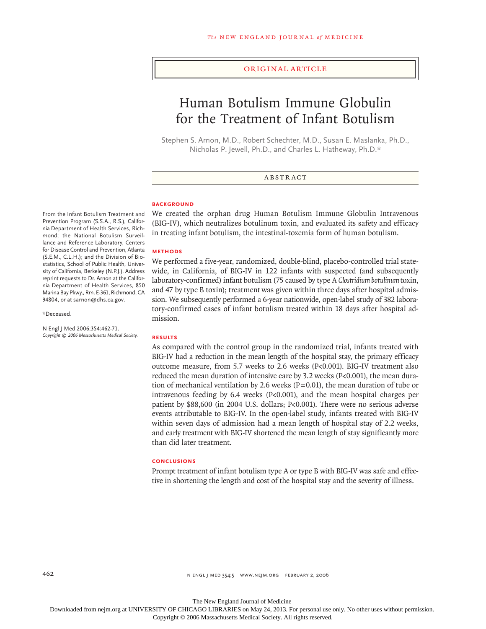# original article

# Human Botulism Immune Globulin for the Treatment of Infant Botulism

Stephen S. Arnon, M.D., Robert Schechter, M.D., Susan E. Maslanka, Ph.D., Nicholas P. Jewell, Ph.D., and Charles L. Hatheway, Ph.D.\*

# ABSTRACT

We created the orphan drug Human Botulism Immune Globulin Intravenous (BIG-IV), which neutralizes botulinum toxin, and evaluated its safety and efficacy in treating infant botulism, the intestinal-toxemia form of human botulism.

We performed a five-year, randomized, double-blind, placebo-controlled trial statewide, in California, of BIG-IV in 122 infants with suspected (and subsequently laboratory-confirmed) infant botulism (75 caused by type A *Clostridium botulinum* toxin, and 47 by type B toxin); treatment was given within three days after hospital admission. We subsequently performed a 6-year nationwide, open-label study of 382 laboratory-confirmed cases of infant botulism treated within 18 days after hospital ad-

#### **BACKGROUND**

**Methods**

From the Infant Botulism Treatment and Prevention Program (S.S.A., R.S.), California Department of Health Services, Richmond; the National Botulism Surveillance and Reference Laboratory, Centers for Disease Control and Prevention, Atlanta (S.E.M., C.L.H.); and the Division of Biostatistics, School of Public Health, University of California, Berkeley (N.P.J.). Address reprint requests to Dr. Arnon at the California Department of Health Services, 850 Marina Bay Pkwy., Rm. E-361, Richmond, CA 94804, or at sarnon@dhs.ca.gov.

\*Deceased.

N Engl J Med 2006;354:462-71. *Copyright © 2006 Massachusetts Medical Society.*

#### **Results**

mission.

As compared with the control group in the randomized trial, infants treated with BIG-IV had a reduction in the mean length of the hospital stay, the primary efficacy outcome measure, from 5.7 weeks to 2.6 weeks (P<0.001). BIG-IV treatment also reduced the mean duration of intensive care by 3.2 weeks (P<0.001), the mean duration of mechanical ventilation by 2.6 weeks ( $P = 0.01$ ), the mean duration of tube or intravenous feeding by 6.4 weeks (P<0.001), and the mean hospital charges per patient by \$88,600 (in 2004 U.S. dollars; P<0.001). There were no serious adverse events attributable to BIG-IV. In the open-label study, infants treated with BIG-IV within seven days of admission had a mean length of hospital stay of 2.2 weeks, and early treatment with BIG-IV shortened the mean length of stay significantly more than did later treatment.

#### **Conclusions**

Prompt treatment of infant botulism type A or type B with BIG-IV was safe and effective in shortening the length and cost of the hospital stay and the severity of illness.

The New England Journal of Medicine

Downloaded from nejm.org at UNIVERSITY OF CHICAGO LIBRARIES on May 24, 2013. For personal use only. No other uses without permission.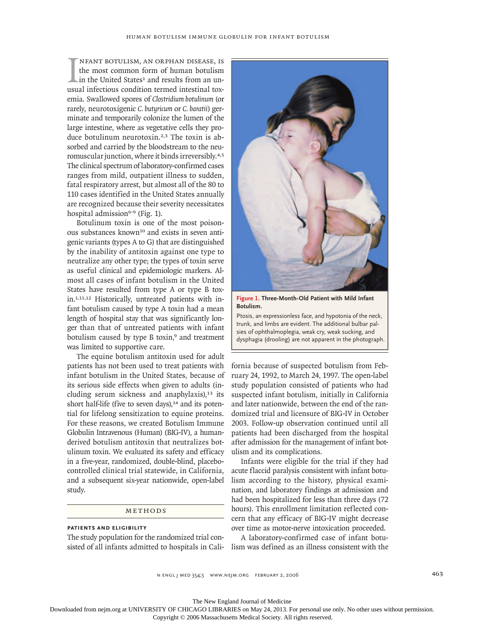IM INFANT BOTULISM, AN ORPHAN DISEASE, IS<br>the most common form of human botulism<br>in the United States<sup>1</sup> and results from an un-<br>usual infectious condition termed intestinal toxnfant botulism, an orphan disease, is the most common form of human botulism in the United States<sup>1</sup> and results from an unemia. Swallowed spores of *Clostridium botulinum* (or rarely, neurotoxigenic *C. butyricum* or *C. baratii*) germinate and temporarily colonize the lumen of the large intestine, where as vegetative cells they produce botulinum neurotoxin.2,3 The toxin is absorbed and carried by the bloodstream to the neuromuscular junction, where it binds irreversibly.4,5 The clinical spectrum of laboratory-confirmed cases ranges from mild, outpatient illness to sudden, fatal respiratory arrest, but almost all of the 80 to 110 cases identified in the United States annually are recognized because their severity necessitates hospital admission<sup>6-9</sup> (Fig. 1).

Botulinum toxin is one of the most poisonous substances known<sup>10</sup> and exists in seven antigenic variants (types A to G) that are distinguished by the inability of antitoxin against one type to neutralize any other type; the types of toxin serve as useful clinical and epidemiologic markers. Almost all cases of infant botulism in the United States have resulted from type A or type B toxin.1,11,12 Historically, untreated patients with infant botulism caused by type A toxin had a mean length of hospital stay that was significantly longer than that of untreated patients with infant botulism caused by type B toxin,<sup>9</sup> and treatment was limited to supportive care.

The equine botulism antitoxin used for adult patients has not been used to treat patients with infant botulism in the United States, because of its serious side effects when given to adults (including serum sickness and anaphylaxis), $13$  its short half-life (five to seven days), $14$  and its potential for lifelong sensitization to equine proteins. For these reasons, we created Botulism Immune Globulin Intravenous (Human) (BIG-IV), a humanderived botulism antitoxin that neutralizes botulinum toxin. We evaluated its safety and efficacy in a five-year, randomized, double-blind, placebocontrolled clinical trial statewide, in California, and a subsequent six-year nationwide, open-label study.

# $M$ ETHODS

# **Patients and Eligibility**

The study population for the randomized trial consisted of all infants admitted to hospitals in Cali-lism was defined as an illness consistent with the



**Figure 1. Three-Month-Old Patient with Mild Infant Botulism.** 

Ptosis, an expressionless face, and hypotonia of the neck, trunk, and limbs are evident. The additional bulbar palsies of ophthalmoplegia, weak cry, weak sucking, and dysphagia (drooling) are not apparent in the photograph.

fornia because of suspected botulism from February 24, 1992, to March 24, 1997. The open-label study population consisted of patients who had suspected infant botulism, initially in California and later nationwide, between the end of the randomized trial and licensure of BIG-IV in October 2003. Follow-up observation continued until all patients had been discharged from the hospital after admission for the management of infant botulism and its complications.

Infants were eligible for the trial if they had acute flaccid paralysis consistent with infant botulism according to the history, physical examination, and laboratory findings at admission and had been hospitalized for less than three days (72 hours). This enrollment limitation reflected concern that any efficacy of BIG-IV might decrease over time as motor-nerve intoxication proceeded.

A laboratory-confirmed case of infant botu-

n engl j med 354;5 www.nejm.org february 2, 2006 463

The New England Journal of Medicine

Downloaded from nejm.org at UNIVERSITY OF CHICAGO LIBRARIES on May 24, 2013. For personal use only. No other uses without permission.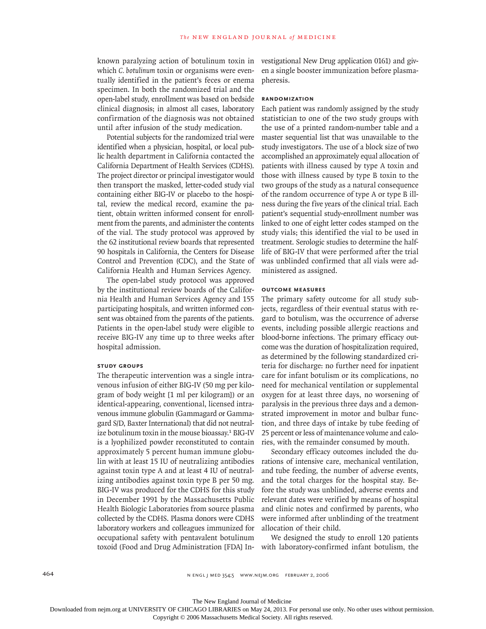known paralyzing action of botulinum toxin in which *C. botulinum* toxin or organisms were eventually identified in the patient's feces or enema specimen. In both the randomized trial and the open-label study, enrollment was based on bedside clinical diagnosis; in almost all cases, laboratory confirmation of the diagnosis was not obtained until after infusion of the study medication.

Potential subjects for the randomized trial were identified when a physician, hospital, or local public health department in California contacted the California Department of Health Services (CDHS). The project director or principal investigator would then transport the masked, letter-coded study vial containing either BIG-IV or placebo to the hospital, review the medical record, examine the patient, obtain written informed consent for enrollment from the parents, and administer the contents of the vial. The study protocol was approved by the 62 institutional review boards that represented 90 hospitals in California, the Centers for Disease Control and Prevention (CDC), and the State of California Health and Human Services Agency.

The open-label study protocol was approved by the institutional review boards of the California Health and Human Services Agency and 155 participating hospitals, and written informed consent was obtained from the parents of the patients. Patients in the open-label study were eligible to receive BIG-IV any time up to three weeks after hospital admission.

## **Study Groups**

The therapeutic intervention was a single intravenous infusion of either BIG-IV (50 mg per kilogram of body weight [1 ml per kilogram]) or an identical-appearing, conventional, licensed intravenous immune globulin (Gammagard or Gammagard S/D, Baxter International) that did not neutralize botulinum toxin in the mouse bioassay.<sup>1</sup> BIG-IV is a lyophilized powder reconstituted to contain approximately 5 percent human immune globulin with at least 15 IU of neutralizing antibodies against toxin type A and at least 4 IU of neutralizing antibodies against toxin type B per 50 mg. BIG-IV was produced for the CDHS for this study in December 1991 by the Massachusetts Public Health Biologic Laboratories from source plasma collected by the CDHS. Plasma donors were CDHS laboratory workers and colleagues immunized for occupational safety with pentavalent botulinum

vestigational New Drug application 0161) and given a single booster immunization before plasmapheresis.

# **Randomization**

Each patient was randomly assigned by the study statistician to one of the two study groups with the use of a printed random-number table and a master sequential list that was unavailable to the study investigators. The use of a block size of two accomplished an approximately equal allocation of patients with illness caused by type A toxin and those with illness caused by type B toxin to the two groups of the study as a natural consequence of the random occurrence of type A or type B illness during the five years of the clinical trial. Each patient's sequential study-enrollment number was linked to one of eight letter codes stamped on the study vials; this identified the vial to be used in treatment. Serologic studies to determine the halflife of BIG-IV that were performed after the trial was unblinded confirmed that all vials were administered as assigned.

## **Outcome measures**

The primary safety outcome for all study subjects, regardless of their eventual status with regard to botulism, was the occurrence of adverse events, including possible allergic reactions and blood-borne infections. The primary efficacy outcome was the duration of hospitalization required, as determined by the following standardized criteria for discharge: no further need for inpatient care for infant botulism or its complications, no need for mechanical ventilation or supplemental oxygen for at least three days, no worsening of paralysis in the previous three days and a demonstrated improvement in motor and bulbar function, and three days of intake by tube feeding of 25 percent or less of maintenance volume and calories, with the remainder consumed by mouth.

Secondary efficacy outcomes included the durations of intensive care, mechanical ventilation, and tube feeding, the number of adverse events, and the total charges for the hospital stay. Before the study was unblinded, adverse events and relevant dates were verified by means of hospital and clinic notes and confirmed by parents, who were informed after unblinding of the treatment allocation of their child.

toxoid (Food and Drug Administration [FDA] In-with laboratory-confirmed infant botulism, the We designed the study to enroll 120 patients

The New England Journal of Medicine Downloaded from nejm.org at UNIVERSITY OF CHICAGO LIBRARIES on May 24, 2013. For personal use only. No other uses without permission.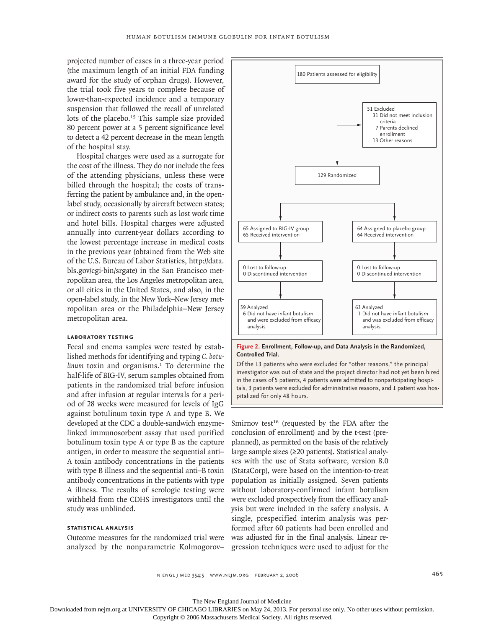projected number of cases in a three-year period (the maximum length of an initial FDA funding award for the study of orphan drugs). However, the trial took five years to complete because of lower-than-expected incidence and a temporary suspension that followed the recall of unrelated lots of the placebo.<sup>15</sup> This sample size provided 80 percent power at a 5 percent significance level to detect a 42 percent decrease in the mean length of the hospital stay.

Hospital charges were used as a surrogate for the cost of the illness. They do not include the fees of the attending physicians, unless these were billed through the hospital; the costs of transferring the patient by ambulance and, in the openlabel study, occasionally by aircraft between states; or indirect costs to parents such as lost work time and hotel bills. Hospital charges were adjusted annually into current-year dollars according to the lowest percentage increase in medical costs in the previous year (obtained from the Web site of the U.S. Bureau of Labor Statistics, http://data. bls.gov/cgi-bin/srgate) in the San Francisco metropolitan area, the Los Angeles metropolitan area, or all cities in the United States, and also, in the open-label study, in the New York–New Jersey metropolitan area or the Philadelphia–New Jersey metropolitan area.

#### **Laboratory Testing**

Fecal and enema samples were tested by established methods for identifying and typing *C. botulinum* toxin and organisms.<sup>1</sup> To determine the half-life of BIG-IV, serum samples obtained from patients in the randomized trial before infusion and after infusion at regular intervals for a period of 28 weeks were measured for levels of IgG against botulinum toxin type A and type B. We developed at the CDC a double-sandwich enzymelinked immunosorbent assay that used purified botulinum toxin type A or type B as the capture antigen, in order to measure the sequential anti– A toxin antibody concentrations in the patients with type B illness and the sequential anti–B toxin antibody concentrations in the patients with type A illness. The results of serologic testing were withheld from the CDHS investigators until the study was unblinded.

# **Statistical Analysis**

Outcome measures for the randomized trial were analyzed by the nonparametric Kolmogorov– gression techniques were used to adjust for the



#### **Figure 2. Enrollment, Follow-up, and Data Analysis in the Randomized, Controlled Trial.**

Of the 13 patients who were excluded for "other reasons," the principal investigator was out of state and the project director had not yet been hired in the cases of 5 patients, 4 patients were admitted to nonparticipating hospitals, 3 patients were excluded for administrative reasons, and 1 patient was hospitalized for only 48 hours.

Smirnov test<sup>16</sup> (requested by the FDA after the conclusion of enrollment) and by the t-test (preplanned), as permitted on the basis of the relatively large sample sizes (≥20 patients). Statistical analyses with the use of Stata software, version 8.0 (StataCorp), were based on the intention-to-treat population as initially assigned. Seven patients without laboratory-confirmed infant botulism were excluded prospectively from the efficacy analysis but were included in the safety analysis. A single, prespecified interim analysis was performed after 60 patients had been enrolled and was adjusted for in the final analysis. Linear re-

n engl j med 354;5 www.nejm.org february 2, 2006 465

The New England Journal of Medicine

Downloaded from nejm.org at UNIVERSITY OF CHICAGO LIBRARIES on May 24, 2013. For personal use only. No other uses without permission.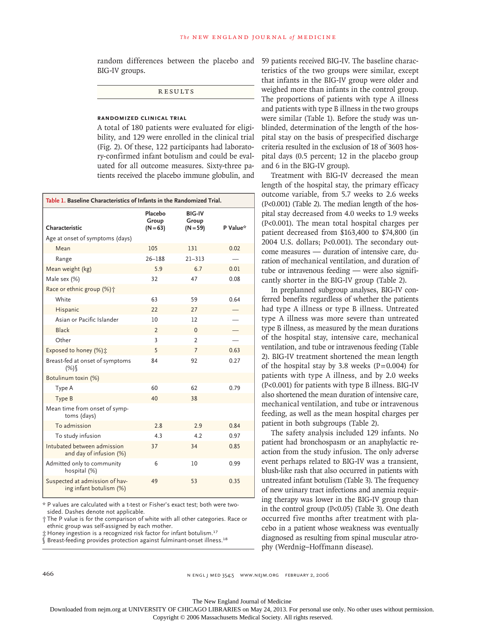random differences between the placebo and BIG-IV groups.

**RESULTS** 

# **Randomized Clinical Trial**

A total of 180 patients were evaluated for eligibility, and 129 were enrolled in the clinical trial (Fig. 2). Of these, 122 participants had laboratory-confirmed infant botulism and could be evaluated for all outcome measures. Sixty-three patients received the placebo immune globulin, and

| Table 1. Baseline Characteristics of Infants in the Randomized Trial. |                                |                                      |          |
|-----------------------------------------------------------------------|--------------------------------|--------------------------------------|----------|
| Characteristic                                                        | Placebo<br>Group<br>$(N = 63)$ | <b>BIG-IV</b><br>Group<br>$(N = 59)$ | P Value* |
| Age at onset of symptoms (days)                                       |                                |                                      |          |
| Mean                                                                  | 105                            | 131                                  | 0.02     |
| Range                                                                 | $26 - 188$                     | $21 - 313$                           |          |
| Mean weight (kg)                                                      | 5.9                            | 6.7                                  | 0.01     |
| Male sex (%)                                                          | 32                             | 47                                   | 0.08     |
| Race or ethnic group (%) +                                            |                                |                                      |          |
| White                                                                 | 63                             | 59                                   | 0.64     |
| Hispanic                                                              | 22                             | 27                                   |          |
| Asian or Pacific Islander                                             | 10                             | 12                                   |          |
| <b>Black</b>                                                          | $\overline{2}$                 | $\Omega$                             |          |
| Other                                                                 | 3                              | $\overline{2}$                       |          |
| Exposed to honey (%) :                                                | 5                              | $\overline{7}$                       | 0.63     |
| Breast-fed at onset of symptoms<br>(%)                                | 84                             | 92                                   | 0.27     |
| Botulinum toxin (%)                                                   |                                |                                      |          |
| Type A                                                                | 60                             | 62                                   | 0.79     |
| Type B                                                                | 40                             | 38                                   |          |
| Mean time from onset of symp-<br>toms (days)                          |                                |                                      |          |
| To admission                                                          | 28                             | 2.9                                  | 0.84     |
| To study infusion                                                     | 4.3                            | 4.2                                  | 0.97     |
| Intubated between admission<br>and day of infusion (%)                | 37                             | 34                                   | 0.85     |
| Admitted only to community<br>hospital (%)                            | 6                              | 10                                   | 0.99     |
| Suspected at admission of hav-<br>ing infant botulism (%)             | 49                             | 53                                   | 0.35     |

\* P values are calculated with a t-test or Fisher's exact test; both were twosided. Dashes denote not applicable.

† The P value is for the comparison of white with all other categories. Race or ethnic group was self-assigned by each mother.

‡ Honey ingestion is a recognized risk factor for infant botulism.<sup>17</sup>

§ Breast-feeding provides protection against fulminant-onset illness.<sup>18</sup>

59 patients received BIG-IV. The baseline characteristics of the two groups were similar, except that infants in the BIG-IV group were older and weighed more than infants in the control group. The proportions of patients with type A illness and patients with type B illness in the two groups were similar (Table 1). Before the study was unblinded, determination of the length of the hospital stay on the basis of prespecified discharge criteria resulted in the exclusion of 18 of 3603 hospital days (0.5 percent; 12 in the placebo group and 6 in the BIG-IV group).

Treatment with BIG-IV decreased the mean length of the hospital stay, the primary efficacy outcome variable, from 5.7 weeks to 2.6 weeks (P<0.001) (Table 2). The median length of the hospital stay decreased from 4.0 weeks to 1.9 weeks (P<0.001). The mean total hospital charges per patient decreased from \$163,400 to \$74,800 (in 2004 U.S. dollars; P<0.001). The secondary outcome measures — duration of intensive care, duration of mechanical ventilation, and duration of tube or intravenous feeding — were also significantly shorter in the BIG-IV group (Table 2).

In preplanned subgroup analyses, BIG-IV conferred benefits regardless of whether the patients had type A illness or type B illness. Untreated type A illness was more severe than untreated type B illness, as measured by the mean durations of the hospital stay, intensive care, mechanical ventilation, and tube or intravenous feeding (Table 2). BIG-IV treatment shortened the mean length of the hospital stay by 3.8 weeks  $(P=0.004)$  for patients with type A illness, and by 2.0 weeks (P<0.001) for patients with type B illness. BIG-IV also shortened the mean duration of intensive care, mechanical ventilation, and tube or intravenous feeding, as well as the mean hospital charges per patient in both subgroups (Table 2).

The safety analysis included 129 infants. No patient had bronchospasm or an anaphylactic reaction from the study infusion. The only adverse event perhaps related to BIG-IV was a transient, blush-like rash that also occurred in patients with untreated infant botulism (Table 3). The frequency of new urinary tract infections and anemia requiring therapy was lower in the BIG-IV group than in the control group (P<0.05) (Table 3). One death occurred five months after treatment with placebo in a patient whose weakness was eventually diagnosed as resulting from spinal muscular atrophy (Werdnig–Hoffmann disease).

466 n engl j med 354;5 www.nejm.org february 2, 2006

The New England Journal of Medicine

Downloaded from nejm.org at UNIVERSITY OF CHICAGO LIBRARIES on May 24, 2013. For personal use only. No other uses without permission.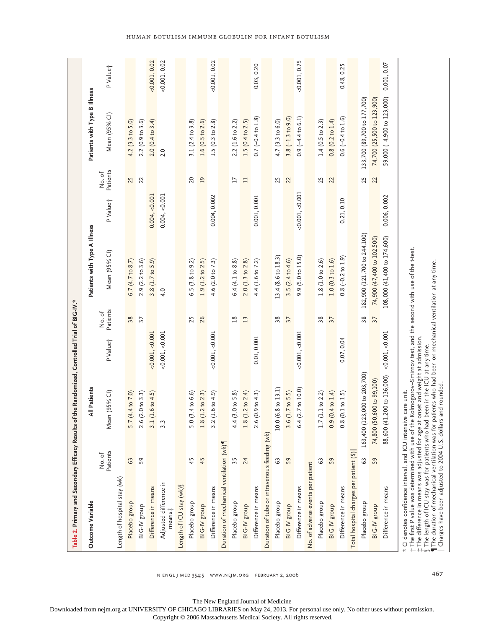|                                              |                   | Table 2. Primary and Secondary Efficacy Results of the Randomized, Controlled Trial of BIG-IV.*                                                                                                                                                                                                                                                                                                                             |                                           |                              |                      |                   |                              |                      |
|----------------------------------------------|-------------------|-----------------------------------------------------------------------------------------------------------------------------------------------------------------------------------------------------------------------------------------------------------------------------------------------------------------------------------------------------------------------------------------------------------------------------|-------------------------------------------|------------------------------|----------------------|-------------------|------------------------------|----------------------|
| Outcome Variable                             |                   | All Patients                                                                                                                                                                                                                                                                                                                                                                                                                |                                           | Patients with Type A Illness |                      |                   | Patients with Type B Illness |                      |
|                                              | Patients<br>No.of | $(95%$ CI)<br>Mean                                                                                                                                                                                                                                                                                                                                                                                                          | Patients<br>No.of<br>P Value <sup>+</sup> | Mean (95% CI)                | PValuej              | Patients<br>No.of | Mean (95% CI)                | P Value <sup>+</sup> |
| Length of hospital stay (wk)                 |                   |                                                                                                                                                                                                                                                                                                                                                                                                                             |                                           |                              |                      |                   |                              |                      |
| Placebo group                                | 63                | 4 to 7.0<br>5.7(4)                                                                                                                                                                                                                                                                                                                                                                                                          | 38                                        | 6.7 $(4.7 \text{ to } 8.7)$  |                      | 25                | 4.2 (3.3 to 5.0)             |                      |
| BIG-IV group                                 | 59                | 2.6 (2.0 to 3.3)                                                                                                                                                                                                                                                                                                                                                                                                            | $\overline{37}$                           | $2.9$ ( $2.2$ to $3.6$ )     |                      | 22                | 2.2(0.9 to 3.6)              |                      |
| Difference in means                          |                   | $.6 \text{ to } 4.5$<br>3.1(1)                                                                                                                                                                                                                                                                                                                                                                                              | $<$ 0.001, $<$ 0.001                      | 3.8 (1.7 to 5.9)             | 0.004, < 0.001       |                   | $2.0(0.4 \text{ to } 3.4)$   | $<$ 0.001, 0.02      |
| Adjusted difference in<br>means#             |                   | 3.3                                                                                                                                                                                                                                                                                                                                                                                                                         | $<$ 0.001, $<$ 0.001                      | 4.0                          | 0.004, < 0.001       |                   | 2.0                          | $<$ 0.001, 0.02      |
| Length of ICU stay (wk) §                    |                   |                                                                                                                                                                                                                                                                                                                                                                                                                             |                                           |                              |                      |                   |                              |                      |
| Placebo group                                | 45                | .4 to 6.6<br>5.0(3)                                                                                                                                                                                                                                                                                                                                                                                                         | 25                                        | 6.5 $(3.8 \text{ to } 9.2)$  |                      | 20                | 3.1 $(2.4 \text{ to } 3.8)$  |                      |
| BIG-IV group                                 | 45                | 1.8 (1.2 to 2.3)                                                                                                                                                                                                                                                                                                                                                                                                            | 26                                        | 1.9 (1.2 to 2.5)             |                      | $\overline{19}$   | 1.6(0.5 to 2.6)              |                      |
| Difference in means                          |                   | (6.404.9)<br>3.2(1)                                                                                                                                                                                                                                                                                                                                                                                                         | $<$ 0.001, $<$ 0.001                      | 4.6 (2.0 to 7.3)             | 0.004, 0.002         |                   | 1.5 $(0.3 \text{ to } 2.8)$  | $<$ 0.001, 0.02      |
| Duration of mechanical ventilation (wk)      |                   |                                                                                                                                                                                                                                                                                                                                                                                                                             |                                           |                              |                      |                   |                              |                      |
| Placebo group                                |                   | .0 to 5.8<br>4.4(3)                                                                                                                                                                                                                                                                                                                                                                                                         | 18                                        | 6.4(4.1 to 8.8)              |                      | $\overline{17}$   | 2.2 (1.6 to 2.2)             |                      |
| BIG-IV group                                 | 24                | $1.8$ (1.2 to 2.4)                                                                                                                                                                                                                                                                                                                                                                                                          | 13                                        | $2.0(1.3 \text{ to } 2.8)$   |                      | $\Box$            | 1.5 $(0.4 \text{ to } 2.5)$  |                      |
| Difference in means                          |                   | .9 to 4.3<br>2.6(0)                                                                                                                                                                                                                                                                                                                                                                                                         | 0.01, 0.001                               | 4.4 (1.6 to 7.2)             | 0.001, 0.001         |                   | $0.7 (-0.4 \text{ to } 1.8)$ | 0.03, 0.20           |
| Duration of tube or intravenous feeding (wk) |                   |                                                                                                                                                                                                                                                                                                                                                                                                                             |                                           |                              |                      |                   |                              |                      |
| Placebo group                                | 63                | .8 to 13.1<br>10.0 (6.                                                                                                                                                                                                                                                                                                                                                                                                      | 38                                        | 13.4 (8.6 to 18.3)           |                      | 25                | 4.7 (3.3 to 6.0)             |                      |
| BIG-IV group                                 | 59                | 3.6 (1.7 to 5.5)                                                                                                                                                                                                                                                                                                                                                                                                            | 37                                        | 3.5 $(2.4 to 4.6)$           |                      | 22                | $3.8(-1.3 to 9.0)$           |                      |
| Difference in means                          |                   | 6.4 (2.7 to 10.0)                                                                                                                                                                                                                                                                                                                                                                                                           | $<$ 0.001, $<$ 0.001                      | 9.9 (5.0 to 15.0)            | $<$ 0.001, $<$ 0.001 |                   | $0.9(-4.4 to 6.1)$           | <0.001, 0.75         |
| No. of adverse events per patient            |                   |                                                                                                                                                                                                                                                                                                                                                                                                                             |                                           |                              |                      |                   |                              |                      |
| Placebo group                                | 63                | 1.7(1.1 to 2.2)                                                                                                                                                                                                                                                                                                                                                                                                             | 38                                        | 1.8(1.0 to 2.6)              |                      | 25                | 1.4 (0.5 to 2.3)             |                      |
| BIG-IV group                                 | 59                | 0.9(0.4 to 1.4)                                                                                                                                                                                                                                                                                                                                                                                                             | 37                                        | 1.0(0.3 to 1.6)              |                      | 22                | $0.8(0.2 \text{ to } 1.4)$   |                      |
| Difference in means                          |                   | $0.8$ (0.1 to 1.5)                                                                                                                                                                                                                                                                                                                                                                                                          | 0.07, 0.04                                | $0.8$ ( $-0.2$ to $1.9$ )    | 0.21, 0.10           |                   | $0.6(-0.4 to 1.6)$           | 0.48, 0.25           |
| Total hospital charges per patient (\$)      |                   |                                                                                                                                                                                                                                                                                                                                                                                                                             |                                           |                              |                      |                   |                              |                      |
| Placebo group                                | 63                | 163,400 (123,000 to 203,700)                                                                                                                                                                                                                                                                                                                                                                                                | 38                                        | 182,900 (121,700 to 244,100) |                      | 25                | 133,700 (89,700 to 177,700)  |                      |
| BIG-IV group                                 | 59                | 74,800 (50,600 to 99,100)                                                                                                                                                                                                                                                                                                                                                                                                   | 37                                        | 74,900 (47,400 to 102,500)   |                      | 22                | 74,700 (25,500 to 123,900)   |                      |
| Difference in means                          |                   | 88,600 (41,200 to 136,000)                                                                                                                                                                                                                                                                                                                                                                                                  | <0.001, <0.001                            | 108,000 (41,400 to 174,600)  | 0.006, 0.002         |                   | 59,000 (-4,900 to 123,000)   | 0.001, 0.07          |
|                                              |                   | * CI denotes confidence interval, and ICU intensive care unit.<br>† The first P value was determined with use of the Kolmogorov–Smirnov test, and the second with use of the t-test.<br>i: The difference in means was adjusted for age at onset and weight at admission.<br>§ The length of ICU stay was for patients who had been in the ICU at any time.<br>¶ The duration of mechanical ventilation was for patients wh |                                           |                              |                      |                   |                              |                      |

n engl j med 354;5 www.nejm.org february 2, 2006 467

The New England Journal of Medicine

Downloaded from nejm.org at UNIVERSITY OF CHICAGO LIBRARIES on May 24, 2013. For personal use only. No other uses without permission.

Copyright © 2006 Massachusetts Medical Society. All rights reserved.

#### Human Botulism Immune Globulin for Infant Botulism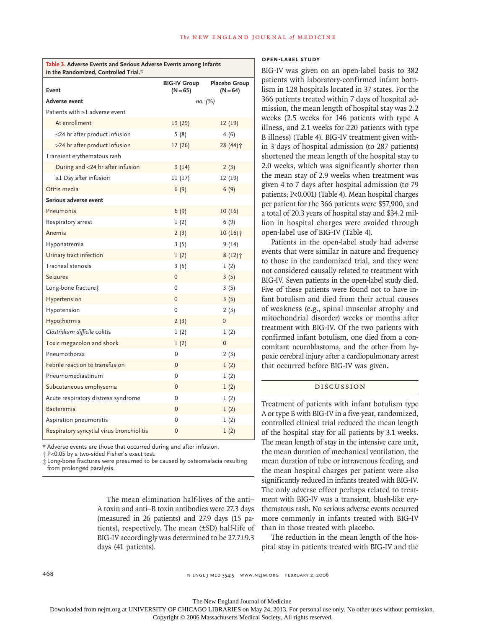| in the Randomized, Controlled Trial.*     |                                   |                             |
|-------------------------------------------|-----------------------------------|-----------------------------|
| Event                                     | <b>BIG-IV Group</b><br>$(N = 65)$ | Placebo Group<br>$(N = 64)$ |
| Adverse event                             |                                   | по. (%)                     |
| Patients with ≥1 adverse event            |                                   |                             |
| At enrollment                             | 19 (29)                           | 12(19)                      |
| $\leq$ 24 hr after product infusion       | 5(8)                              | 4(6)                        |
| >24 hr after product infusion             | 17(26)                            | 28 (44) †                   |
| Transient erythematous rash               |                                   |                             |
| During and <24 hr after infusion          | 9(14)                             | 2(3)                        |
| $\geq$ 1 Day after infusion               | 11(17)                            | 12 (19)                     |
| Otitis media                              | 6(9)                              | 6(9)                        |
| Serious adverse event                     |                                   |                             |
| Pneumonia                                 | 6(9)                              | 10(16)                      |
| Respiratory arrest                        | 1(2)                              | 6(9)                        |
| Anemia                                    | 2(3)                              | 10 (16)†                    |
| Hyponatremia                              | 3(5)                              | 9(14)                       |
| Urinary tract infection                   | 1(2)                              | 8 (12)个                     |
| Tracheal stenosis                         | 3(5)                              | 1(2)                        |
| <b>Seizures</b>                           | 0                                 | 3(5)                        |
| Long-bone fracture;                       | 0                                 | 3(5)                        |
| Hypertension                              | $\mathbf{0}$                      | 3(5)                        |
| Hypotension                               | $\mathbf 0$                       | 2(3)                        |
| Hypothermia                               | 2(3)                              | 0                           |
| Clostridium difficile colitis             | 1(2)                              | 1(2)                        |
| Toxic megacolon and shock                 | 1(2)                              | 0                           |
| Pneumothorax                              | 0                                 | 2(3)                        |
| Febrile reaction to transfusion           | $\mathbf{0}$                      | 1(2)                        |
| Pneumomediastinum                         | 0                                 | 1(2)                        |
| Subcutaneous emphysema                    | $\mathbf 0$                       | 1(2)                        |
| Acute respiratory distress syndrome       | 0                                 | 1(2)                        |
| Bacteremia                                | 0                                 | 1(2)                        |
| Aspiration pneumonitis                    | 0                                 | 1(2)                        |
| Respiratory syncytial virus bronchiolitis | 0                                 | 1(2)                        |

**Table 3. Adverse Events and Serious Adverse Events among Infants** 

\* Adverse events are those that occurred during and after infusion.

† P<0.05 by a two-sided Fisher's exact test.

‡ Long-bone fractures were presumed to be caused by osteomalacia resulting from prolonged paralysis.

> The mean elimination half-lives of the anti– A toxin and anti–B toxin antibodies were 27.3 days (measured in 26 patients) and 27.9 days (15 patients), respectively. The mean (±SD) half-life of BIG-IV accordingly was determined to be 27.7±9.3 days (41 patients).

# **Open-Label Study**

BIG-IV was given on an open-label basis to 382 patients with laboratory-confirmed infant botulism in 128 hospitals located in 37 states. For the 366 patients treated within 7 days of hospital admission, the mean length of hospital stay was 2.2 weeks (2.5 weeks for 146 patients with type A illness, and 2.1 weeks for 220 patients with type B illness) (Table 4). BIG-IV treatment given within 3 days of hospital admission (to 287 patients) shortened the mean length of the hospital stay to 2.0 weeks, which was significantly shorter than the mean stay of 2.9 weeks when treatment was given 4 to 7 days after hospital admission (to 79 patients; P<0.001) (Table 4). Mean hospital charges per patient for the 366 patients were \$57,900, and a total of 20.3 years of hospital stay and \$34.2 million in hospital charges were avoided through open-label use of BIG-IV (Table 4).

Patients in the open-label study had adverse events that were similar in nature and frequency to those in the randomized trial, and they were not considered causally related to treatment with BIG-IV. Seven patients in the open-label study died. Five of these patients were found not to have infant botulism and died from their actual causes of weakness (e.g., spinal muscular atrophy and mitochondrial disorder) weeks or months after treatment with BIG-IV. Of the two patients with confirmed infant botulism, one died from a concomitant neuroblastoma, and the other from hypoxic cerebral injury after a cardiopulmonary arrest that occurred before BIG-IV was given.

# Discussion

Treatment of patients with infant botulism type A or type B with BIG-IV in a five-year, randomized, controlled clinical trial reduced the mean length of the hospital stay for all patients by 3.1 weeks. The mean length of stay in the intensive care unit, the mean duration of mechanical ventilation, the mean duration of tube or intravenous feeding, and the mean hospital charges per patient were also significantly reduced in infants treated with BIG-IV. The only adverse effect perhaps related to treatment with BIG-IV was a transient, blush-like erythematous rash. No serious adverse events occurred more commonly in infants treated with BIG-IV than in those treated with placebo.

The reduction in the mean length of the hospital stay in patients treated with BIG-IV and the

468 n engl j med 354;5 www.nejm.org february 2, 2006

The New England Journal of Medicine Downloaded from nejm.org at UNIVERSITY OF CHICAGO LIBRARIES on May 24, 2013. For personal use only. No other uses without permission.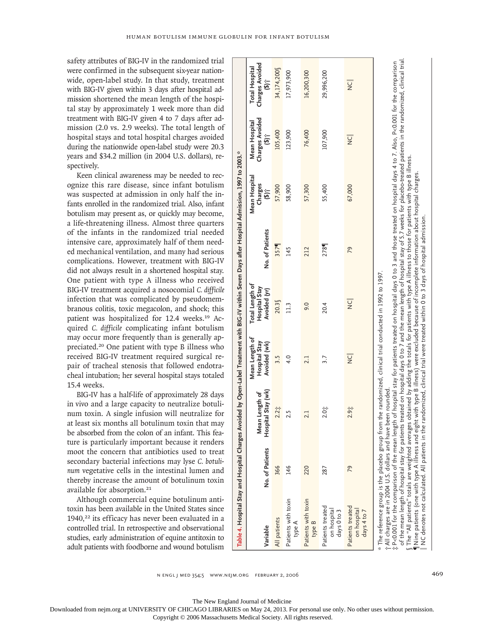safety attributes of BIG-IV in the randomized trial were confirmed in the subsequent six-year nationwide, open-label study. In that study, treatment with BIG-IV given within 3 days after hospital admission shortened the mean length of the hospital stay by approximately 1 week more than did treatment with BIG-IV given 4 to 7 days after admission (2.0 vs. 2.9 weeks). The total length of hospital stays and total hospital charges avoided during the nationwide open-label study were 20.3 years and \$34.2 million (in 2004 U.S. dollars), respectively.

Keen clinical awareness may be needed to recognize this rare disease, since infant botulism was suspected at admission in only half the infants enrolled in the randomized trial. Also, infant botulism may present as, or quickly may become, a life-threatening illness. Almost three quarters of the infants in the randomized trial needed intensive care, approximately half of them needed mechanical ventilation, and many had serious complications. However, treatment with BIG-IV did not always result in a shortened hospital stay. One patient with type A illness who received BIG-IV treatment acquired a nosocomial *C. difficile* infection that was complicated by pseudomembranous colitis, toxic megacolon, and shock; this patient was hospitalized for 12.4 weeks.<sup>19</sup> Acquired *C. difficile* complicating infant botulism may occur more frequently than is generally appreciated.<sup>20</sup> One patient with type B illness who received BIG-IV treatment required surgical repair of tracheal stenosis that followed endotracheal intubation; her several hospital stays totaled 15.4 weeks.

BIG-IV has a half-life of approximately 28 days in vivo and a large capacity to neutralize botulinum toxin. A single infusion will neutralize for at least six months all botulinum toxin that may be absorbed from the colon of an infant. This feature is particularly important because it renders moot the concern that antibiotics used to treat secondary bacterial infections may lyse *C. botulinum* vegetative cells in the intestinal lumen and thereby increase the amount of botulinum toxin available for absorption.<sup>21</sup>

Although commercial equine botulinum antitoxin has been available in the United States since  $1940$ <sup>22</sup> its efficacy has never been evaluated in a controlled trial. In retrospective and observational studies, early administration of equine antitoxin to adult patients with foodborne and wound botulism

|                                                               |                 | Table 4. Hospital Stay and Hospital Charges Avoided by Open-Label Treatment with BIG-IV within Seven Days after Hospital Admission, 1997 to 2003. "                                                                                                                                                                                                                                                                                                                                                                                                                                                                                                                           |                                                 |                                                  |                 |                                   |                                                               |                                                               |
|---------------------------------------------------------------|-----------------|-------------------------------------------------------------------------------------------------------------------------------------------------------------------------------------------------------------------------------------------------------------------------------------------------------------------------------------------------------------------------------------------------------------------------------------------------------------------------------------------------------------------------------------------------------------------------------------------------------------------------------------------------------------------------------|-------------------------------------------------|--------------------------------------------------|-----------------|-----------------------------------|---------------------------------------------------------------|---------------------------------------------------------------|
| Variable                                                      | No. of Patients | Stay (wk)<br>ength of<br>Hospital<br>Mean L                                                                                                                                                                                                                                                                                                                                                                                                                                                                                                                                                                                                                                   | Mean Length of<br>Hospital Stay<br>Avoided (wk) | Total Length of<br>Hospital Stay<br>Avoided (yr) | No. of Patients | Mean Hospital<br>Charges<br>(\$)† | <b>Charges Avoided</b><br>Mean Hospital<br>$\hat{\mathbf{s}}$ | Charges Avoided<br>Total Hospital<br>$\widetilde{\mathbf{e}}$ |
| All patients                                                  | 366             | $2.2\ddot{z}$                                                                                                                                                                                                                                                                                                                                                                                                                                                                                                                                                                                                                                                                 | 3.5                                             | 20.3                                             | 3571            | 57,900                            | 105,400                                                       | 34,174,200                                                    |
| Patients with toxin<br>type A                                 | 146             | 2.5                                                                                                                                                                                                                                                                                                                                                                                                                                                                                                                                                                                                                                                                           | 4.0                                             | 11.3                                             | 145             | 58,900                            | 123,900                                                       | 17,973,900                                                    |
| Patients with toxin<br>type B                                 | 220             | 2.1                                                                                                                                                                                                                                                                                                                                                                                                                                                                                                                                                                                                                                                                           | 2.1                                             | 0.6                                              | 212             | 57,300                            | 76,400                                                        | 16,200,300                                                    |
| Patients treated<br>on hospital<br>days 0 to 3                | 287             | $2.0^{+}_{+}$                                                                                                                                                                                                                                                                                                                                                                                                                                                                                                                                                                                                                                                                 | 3.7                                             | 20.4                                             | 278             | 55,400                            | 107,900                                                       | 29,996,200                                                    |
| Patients treated<br>on hospital<br>days 4 to 7                | 79              | $2.9^{+}_{+}$                                                                                                                                                                                                                                                                                                                                                                                                                                                                                                                                                                                                                                                                 | $\overline{Q}$                                  | $\overline{C}$                                   | 79              | 67,000                            | $\overline{C}$                                                | $\overline{C}$                                                |
| t All charges are in 2004 U.S. dollars and have been rounded. |                 | of the mean length of hospital stay for patients treated on hospital days 0 to 7 and the mean length of hospital stay of 5.7 weeks for placebo-treated patients in the randomized, clinical trial.<br>t P<0.001 for the comparison of the mean length of hospital stay for patients treated on hospital days 0 to 3 and those treated on hospital days 4 to 7. Also, P<0.001 for the comparison<br>. The "All patients" totals are weighted averages obtained by adding the totals for patients with type A illness to those for patients with type B illness.<br>$*$ The reference group is the placebo group from the randomized, clinical trial conducted in 1992 to 1997. |                                                 |                                                  |                 |                                   |                                                               |                                                               |

§ The "All patients" totals are weighted averages obtained by adding the totals for patients with type A illness to those for patients with type B illness. ¶ Nine patients (one with type A illness and eight with type B illness) were excluded because of incomplete information about hospital charges.

Billness) were excluded

∥ NC denotes not calculated. All patients in the randomized, clinical trial were treated within 0 to 3 days of hospital admission.

Nine patients (one with type A illness and eight with type B<br>NC denotes not calculated. All patients in the randomized,

i illness) were excluded because of incomplete information about hospital charges.<br>clinical trial were treated within 0 to 3 days of hospital admission.

n engl j med 354;5 www.nejm.org february 2, 2006 469

The New England Journal of Medicine

Downloaded from nejm.org at UNIVERSITY OF CHICAGO LIBRARIES on May 24, 2013. For personal use only. No other uses without permission.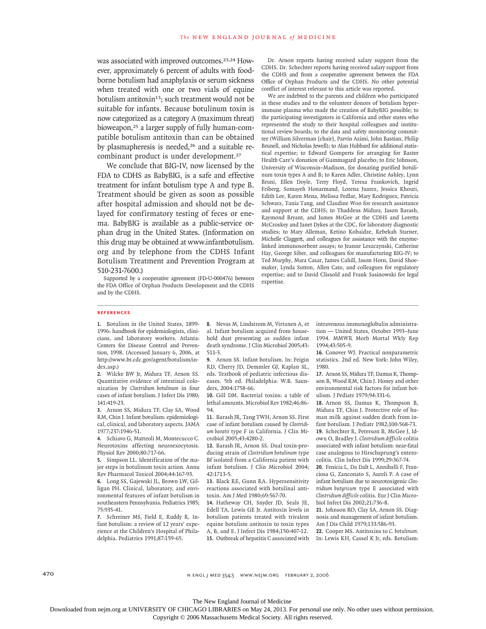was associated with improved outcomes.<sup>23,24</sup> However, approximately 6 percent of adults with foodborne botulism had anaphylaxis or serum sickness when treated with one or two vials of equine botulism antitoxin<sup>13</sup>; such treatment would not be suitable for infants. Because botulinum toxin is now categorized as a category A (maximum threat) bioweapon,<sup>25</sup> a larger supply of fully human-compatible botulism antitoxin than can be obtained by plasmapheresis is needed,<sup>26</sup> and a suitable recombinant product is under development.<sup>27</sup>

We conclude that BIG-IV, now licensed by the FDA to CDHS as BabyBIG, is a safe and effective treatment for infant botulism type A and type B. Treatment should be given as soon as possible after hospital admission and should not be delayed for confirmatory testing of feces or enema. BabyBIG is available as a public-service orphan drug in the United States. (Information on this drug may be obtained at www.infantbotulism. org and by telephone from the CDHS Infant Botulism Treatment and Prevention Program at 510-231-7600.)

Supported by a cooperative agreement (FD-U-000476) between the FDA Office of Orphan Products Development and the CDHS and by the CDHS.

Dr. Arnon reports having received salary support from the CDHS. Dr. Schechter reports having received salary support from the CDHS and from a cooperative agreement between the FDA Office of Orphan Products and the CDHS. No other potential conflict of interest relevant to this article was reported.

We are indebted to the parents and children who participated in these studies and to the volunteer donors of botulism hyperimmune plasma who made the creation of BabyBIG possible; to the participating investigators in California and other states who represented the study to their hospital colleagues and institutional review boards; to the data and safety monitoring committee (William Silverman [chair], Parvin Azimi, John Bastian, Philip Brunell, and Nicholas Jewell); to Alan Hubbard for additional statistical expertise; to Edward Gomperts for arranging for Baxter Health Care's donation of Gammagard placebo; to Eric Johnson, University of Wisconsin–Madison, for donating purified botulinum toxin types A and B; to Karen Adler, Christine Ashley, Lynn Bruni, Ellen Doyle, Terry Floyd, Teresa Frankovich, Ingrid Friberg, Somayeh Honarmand, Lorena Juarez, Jessica Khouri, Edith Lee, Karen Mena, Melissa Pedlar, Mary Rodriguez, Patricia Schwarz, Tania Tang, and Claudine Woo for research assistance and support at the CDHS; to Thaddeus Midura, Jason Barash, Raymond Bryant, and James McGee at the CDHS and Loretta McCroskey and Janet Dykes at the CDC, for laboratory diagnostic studies; to Mary Alleman, Ketino Kobaidze, Rebekah Starner, Michelle Claggett, and colleagues for assistance with the enzymelinked immunosorbent assays; to Jeanne Leszczynski, Catherine Hay, George Siber, and colleagues for manufacturing BIG-IV; to Ted Murphy, Mara Casar, James Cahill, Jason Horn, David Shoemaker, Lynda Sutton, Allen Cato, and colleagues for regulatory expertise; and to David Clissold and Frank Sasinowski for legal expertise.

#### **References**

1. Botulism in the United States, 1899-1996: handbook for epidemiologists, clinicians, and laboratory workers. Atlanta: Centers for Disease Control and Prevention, 1998. (Accessed January 6, 2006, at http://www.bt.cdc.gov/agent/botulism/index.asp.)

Wilcke BW Jr, Midura TF, Arnon SS. **2.** Quantitative evidence of intestinal colonization by *Clostridium botulinum* in four cases of infant botulism. J Infect Dis 1980; 141:419-23.

Arnon SS, Midura TF, Clay SA, Wood **3.** RM, Chin J. Infant botulism: epidemiological, clinical, and laboratory aspects. JAMA 1977;237:1946-51.

4. Schiavo G, Matteoli M, Montecucco C. Neurotoxins affecting neuroexocytosis. Physiol Rev 2000;80:717-66.

Simpson LL. Identification of the ma-**5.** jor steps in botulinum toxin action. Annu Rev Pharmacol Toxicol 2004;44:167-93.

Long SS, Gajewski JL, Brown LW, Gil-**6.** ligan PH. Clinical, laboratory, and environmental features of infant botulism in southeastern Pennsylvania. Pediatrics 1985; 75:935-41.

7. Schreiner MS, Field E, Ruddy R. Infant botulism: a review of 12 years' experience at the Children's Hospital of Philadelphia. Pediatrics 1991;87:159-65.

8. Nevas M, Lindstrom M, Virtanen A, et al. Infant botulism acquired from household dust presenting as sudden infant death syndrome. J Clin Microbiol 2005;43: 511-3.

Arnon SS. Infant botulism. In: Feigin **9.** RD, Cherry JD, Demmler GJ, Kaplan SL, eds. Textbook of pediatric infectious diseases. 5th ed. Philadelphia: W.B. Saunders, 2004:1758-66.

10. Gill DM. Bacterial toxins: a table of lethal amounts. Microbiol Rev 1982;46:86-  $Q_4$ 

11. Barash JR, Tang TWH, Arnon SS. First case of infant botulism caused by *Clostridium baratii* type F in California. J Clin Microbiol 2005;43:4280-2.

12. Barash JR, Arnon SS. Dual toxin-producing strain of *Clostridium botulinum* type Bf isolated from a California patient with infant botulism. J Clin Microbiol 2004; 42:1713-5.

13. Black RE, Gunn RA. Hypersensitivity reactions associated with botulinal antitoxin. Am J Med 1980;69:567-70.

14. Hatheway CH, Snyder JD, Seals JE, Edell TA, Lewis GE Jr. Antitoxin levels in botulism patients treated with trivalent equine botulism antitoxin to toxin types A, B, and E. J Infect Dis 1984;150:407-12. 15. Outbreak of hepatitis C associated with intravenous immunoglobulin administration — United States, October 1993–June 1994. MMWR Morb Mortal Wkly Rep 1994;43:505-9.

16. Conover WJ. Practical nonparametric statistics. 2nd ed. New York: John Wiley, 1980.

17. Arnon SS, Midura TF, Damus K, Thompson B, Wood RM, Chin J. Honey and other environmental risk factors for infant botulism. J Pediatr 1979;94:331-6.

18. Arnon SS, Damus K, Thompson B, Midura TF, Chin J. Protective role of human milk against sudden death from infant botulism. J Pediatr 1982;100:568-73. 19. Schechter R, Peterson B, McGee J, Idowu O, Bradley J. *Clostridium difficile* colitis associated with infant botulism: near-fatal case analogous to Hirschsprung's enterocolitis. Clin Infect Dis 1999;29:367-74.

Fenicia L, Da Dalt L, Anniballi F, Fran-**20.** ciosa G, Zanconato S, Aureli P. A case of infant botulism due to neurotoxigenic *Clostridium butyricum* type E associated with *Clostridium difficile* colitis. Eur J Clin Microbiol Infect Dis 2002;21:736-8.

21. Johnson RO, Clay SA, Arnon SS. Diagnosis and management of infant botulism. Am J Dis Child 1979;133:586-93.

Cooper MS. Antitoxins to *C. botulinum.* **22.** In: Lewis KH, Cassel K Jr, eds. Botulism:

470 n engl j med 354;5 www.nejm.org february 2, 2006

The New England Journal of Medicine Downloaded from nejm.org at UNIVERSITY OF CHICAGO LIBRARIES on May 24, 2013. For personal use only. No other uses without permission.